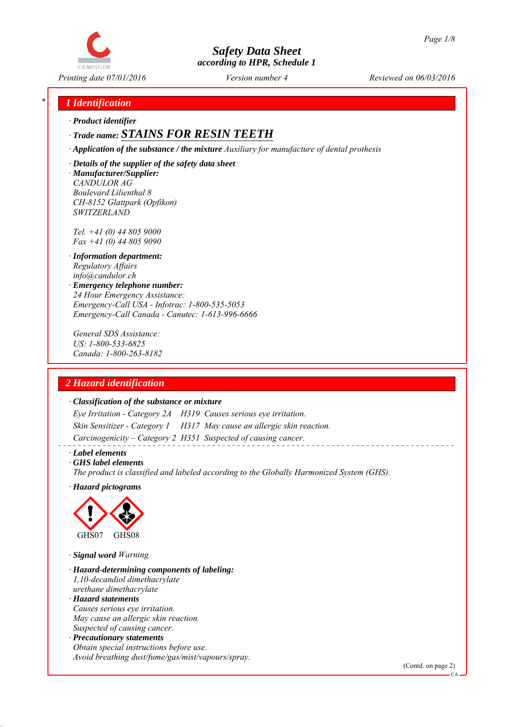

*Printing date 07/01/2016 Reviewed on 06/03/2016 Version number 4*

## *\* 1 Identification*

*∙ Product identifier*

# *∙ Trade name: STAINS FOR RESIN TEETH*

*∙ Application of the substance / the mixture Auxiliary for manufacture of dental prothesis*

*∙ Details of the supplier of the safety data sheet ∙ Manufacturer/Supplier: CANDULOR AG Boulevard Lilienthal 8 CH-8152 Glattpark (Opfikon) SWITZERLAND*

*Tel. +41 (0) 44 805 9000 Fax +41 (0) 44 805 9090*

- *∙ Information department: Regulatory Affairs info@candulor.ch*
- *∙ Emergency telephone number: 24 Hour Emergency Assistance: Emergency-Call USA - Infotrac: 1-800-535-5053 Emergency-Call Canada - Canutec: 1-613-996-6666*

*General SDS Assistance: US: 1-800-533-6825 Canada: 1-800-263-8182*

## *2 Hazard identification*

#### *∙ Classification of the substance or mixture*

*Eye Irritation - Category 2A H319 Causes serious eye irritation. Skin Sensitizer - Category 1 H317 May cause an allergic skin reaction. Carcinogenicity – Category 2 H351 Suspected of causing cancer.*

#### *∙ Label elements*

*∙ GHS label elements*

*The product is classified and labeled according to the Globally Harmonized System (GHS).*

*∙ Hazard pictograms*



*∙ Signal word Warning*

*∙ Hazard-determining components of labeling: 1,10-decandiol dimethacrylate urethane dimethacrylate ∙ Hazard statements Causes serious eye irritation.*

*May cause an allergic skin reaction. Suspected of causing cancer.*

*∙ Precautionary statements Obtain special instructions before use. Avoid breathing dust/fume/gas/mist/vapours/spray.*

(Contd. on page 2)

CA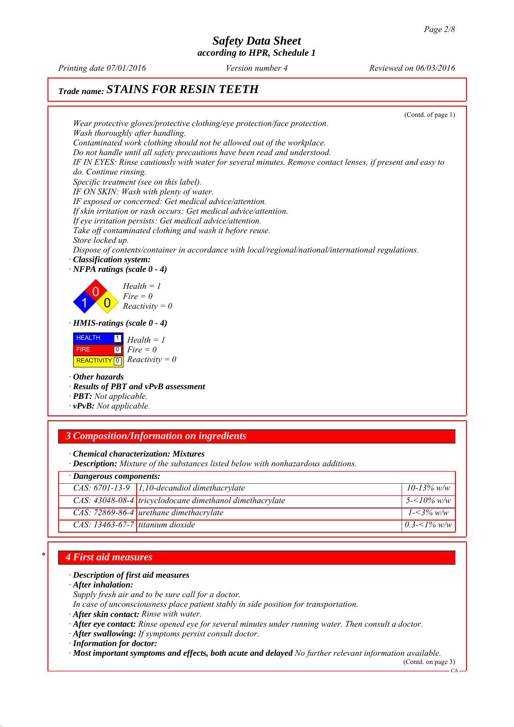*Printing date 07/01/2016 Reviewed on 06/03/2016 Version number 4*

# *Trade name: STAINS FOR RESIN TEETH*

|                                                                            |                                                                                                                                                                                         | (Contd. of page 1) |
|----------------------------------------------------------------------------|-----------------------------------------------------------------------------------------------------------------------------------------------------------------------------------------|--------------------|
|                                                                            | Wear protective gloves/protective clothing/eye protection/face protection.                                                                                                              |                    |
| Wash thoroughly after handling.                                            |                                                                                                                                                                                         |                    |
|                                                                            | Contaminated work clothing should not be allowed out of the workplace.                                                                                                                  |                    |
|                                                                            | Do not handle until all safety precautions have been read and understood.<br>IF IN EYES: Rinse cautiously with water for several minutes. Remove contact lenses, if present and easy to |                    |
| do. Continue rinsing.                                                      |                                                                                                                                                                                         |                    |
|                                                                            | Specific treatment (see on this label).                                                                                                                                                 |                    |
|                                                                            | IF ON SKIN: Wash with plenty of water.                                                                                                                                                  |                    |
|                                                                            | IF exposed or concerned: Get medical advice/attention.                                                                                                                                  |                    |
|                                                                            | If skin irritation or rash occurs: Get medical advice/attention.                                                                                                                        |                    |
|                                                                            | If eye irritation persists: Get medical advice/attention.                                                                                                                               |                    |
| Store locked up.                                                           | Take off contaminated clothing and wash it before reuse.                                                                                                                                |                    |
|                                                                            | Dispose of contents/container in accordance with local/regional/national/international regulations.                                                                                     |                    |
| Classification system:                                                     |                                                                                                                                                                                         |                    |
| $\cdot$ NFPA ratings (scale 0 - 4)                                         |                                                                                                                                                                                         |                    |
| $\cdot$ HMIS-ratings (scale 0 - 4)<br><b>HEALTH</b><br>$\blacksquare$      | $Health = 1$<br>$Fire = 0$<br>$Reactivity = 0$<br>$Health = 1$                                                                                                                          |                    |
| $\boxed{0}$<br><b>FIRE</b><br>REACTIVITY $\boxed{0}$ <i>Reactivity</i> = 0 | $Fire = 0$                                                                                                                                                                              |                    |
| $\cdot$ Other hazards<br>· PBT: Not applicable.<br>· vPvB: Not applicable. | · Results of PBT and vPvB assessment                                                                                                                                                    |                    |
|                                                                            |                                                                                                                                                                                         |                    |
|                                                                            | <b>3 Composition/Information on ingredients</b>                                                                                                                                         |                    |
|                                                                            | · Chemical characterization: Mixtures<br>· Description: Mixture of the substances listed below with nonhazardous additions.                                                             |                    |
| · Dangerous components:                                                    |                                                                                                                                                                                         |                    |
|                                                                            | CAS: $6701-13-9$ 1,10-decandiol dimethacrylate                                                                                                                                          | $10 - 13\%$ w/w    |
|                                                                            | CAS: 43048-08-4 tricyclodocane dimethanol dimethacrylate                                                                                                                                | $5 - 10\%$ w/w     |
|                                                                            | CAS: 72869-86-4 urethane dimethacrylate                                                                                                                                                 | $1 - 3\%$ w/w      |
| $CAS: 13463-67-7$ titanium dioxide                                         |                                                                                                                                                                                         | $0.3 - 1\%$ w/w    |

## *\* 4 First aid measures*

## *∙ Description of first aid measures*

*∙ After inhalation:*

*Supply fresh air and to be sure call for a doctor.*

- *In case of unconsciousness place patient stably in side position for transportation.*
- *∙ After skin contact: Rinse with water.*

*∙ After eye contact: Rinse opened eye for several minutes under running water. Then consult a doctor.*

*∙ After swallowing: If symptoms persist consult doctor.*

*∙ Most important symptoms and effects, both acute and delayed No further relevant information available.*

(Contd. on page 3)

 $CA$ 

*<sup>∙</sup> Information for doctor:*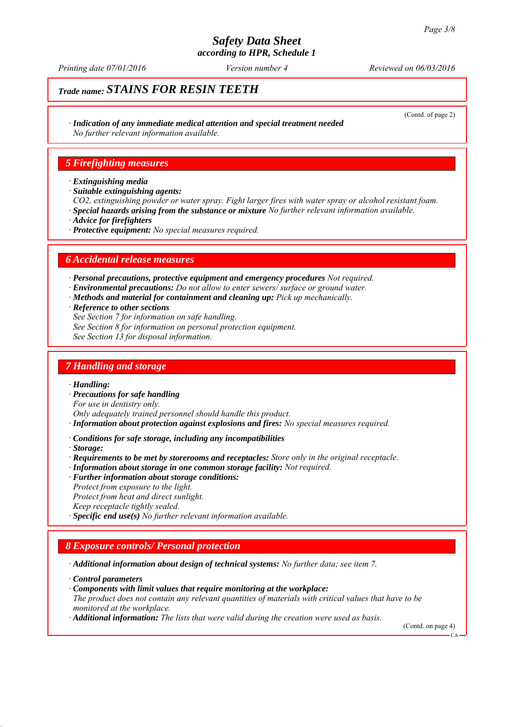*Printing date 07/01/2016 Reviewed on 06/03/2016 Version number 4*

# *Trade name: STAINS FOR RESIN TEETH*

(Contd. of page 2)

*∙ Indication of any immediate medical attention and special treatment needed No further relevant information available.*

## *5 Firefighting measures*

- *∙ Extinguishing media*
- *∙ Suitable extinguishing agents:*
- *CO2, extinguishing powder or water spray. Fight larger fires with water spray or alcohol resistant foam.*
- *∙ Special hazards arising from the substance or mixture No further relevant information available.*
- *∙ Advice for firefighters*
- *∙ Protective equipment: No special measures required.*

### *6 Accidental release measures*

*∙ Personal precautions, protective equipment and emergency procedures Not required.*

- *∙ Environmental precautions: Do not allow to enter sewers/ surface or ground water.*
- *∙ Methods and material for containment and cleaning up: Pick up mechanically.*
- *∙ Reference to other sections*
- *See Section 7 for information on safe handling.*
- *See Section 8 for information on personal protection equipment.*
- *See Section 13 for disposal information.*

#### *7 Handling and storage*

*∙ Handling:*

*∙ Precautions for safe handling*

*For use in dentistry only.*

*Only adequately trained personnel should handle this product.*

*∙ Information about protection against explosions and fires: No special measures required.*

*∙ Conditions for safe storage, including any incompatibilities*

*∙ Storage:*

*∙ Requirements to be met by storerooms and receptacles: Store only in the original receptacle.*

- *∙ Information about storage in one common storage facility: Not required.*
- *∙ Further information about storage conditions:*
- *Protect from exposure to the light.*
- *Protect from heat and direct sunlight.*
- *Keep receptacle tightly sealed.*

*∙ Specific end use(s) No further relevant information available.*

## *8 Exposure controls/ Personal protection*

*∙ Additional information about design of technical systems: No further data; see item 7.*

- *∙ Control parameters*
- *∙ Components with limit values that require monitoring at the workplace:*
- *The product does not contain any relevant quantities of materials with critical values that have to be monitored at the workplace.*
- *∙ Additional information: The lists that were valid during the creation were used as basis.*

(Contd. on page 4)

CA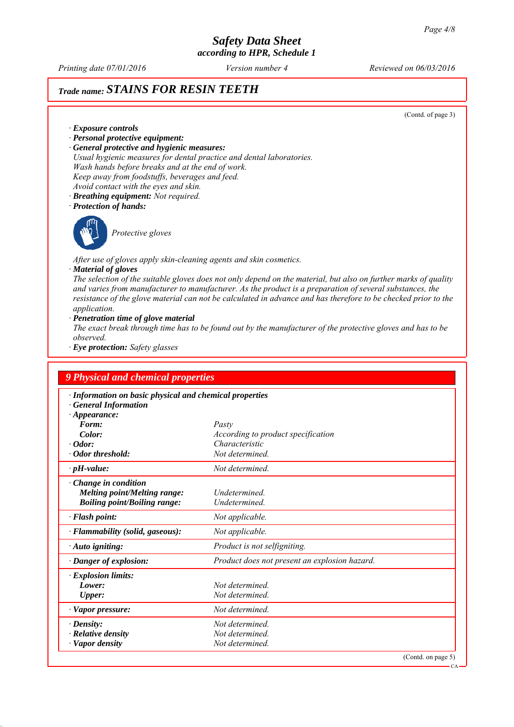*Printing date 07/01/2016 Reviewed on 06/03/2016 Version number 4*

# *Trade name: STAINS FOR RESIN TEETH*

(Contd. of page 3)

*∙ Exposure controls*

- *∙ Personal protective equipment:*
- *∙ General protective and hygienic measures:*
- *Usual hygienic measures for dental practice and dental laboratories. Wash hands before breaks and at the end of work.*
- *Keep away from foodstuffs, beverages and feed.*
- *Avoid contact with the eyes and skin.*
- *∙ Breathing equipment: Not required.*
- *∙ Protection of hands:*



*Protective gloves*

*After use of gloves apply skin-cleaning agents and skin cosmetics.*

#### *∙ Material of gloves*

*The selection of the suitable gloves does not only depend on the material, but also on further marks of quality and varies from manufacturer to manufacturer. As the product is a preparation of several substances, the resistance of the glove material can not be calculated in advance and has therefore to be checked prior to the application.*

*∙ Penetration time of glove material*

*The exact break through time has to be found out by the manufacturer of the protective gloves and has to be observed.*

*∙ Eye protection: Safety glasses*

| <b>9 Physical and chemical properties</b>               |                                               |  |  |  |
|---------------------------------------------------------|-----------------------------------------------|--|--|--|
| · Information on basic physical and chemical properties |                                               |  |  |  |
| <b>General Information</b>                              |                                               |  |  |  |
| $\cdot$ Appearance:                                     |                                               |  |  |  |
| Form:                                                   | Pasty                                         |  |  |  |
| Color:                                                  | According to product specification            |  |  |  |
| $\cdot$ Odor:                                           | Characteristic                                |  |  |  |
| · Odor threshold:                                       | Not determined.                               |  |  |  |
| $\cdot$ pH-value:                                       | Not determined.                               |  |  |  |
| Change in condition                                     |                                               |  |  |  |
| <b>Melting point/Melting range:</b>                     | Undetermined.                                 |  |  |  |
| <b>Boiling point/Boiling range:</b>                     | Undetermined.                                 |  |  |  |
| · Flash point:                                          | Not applicable.                               |  |  |  |
| · Flammability (solid, gaseous):                        | Not applicable.                               |  |  |  |
| $\cdot$ Auto igniting:                                  | Product is not selfigniting.                  |  |  |  |
| Danger of explosion:                                    | Product does not present an explosion hazard. |  |  |  |
| <b>Explosion limits:</b>                                |                                               |  |  |  |
| Lower:                                                  | Not determined                                |  |  |  |
| Upper:                                                  | Not determined.                               |  |  |  |
| · Vapor pressure:                                       | Not determined.                               |  |  |  |
| $\cdot$ Density:                                        | Not determined.                               |  |  |  |
| $\cdot$ Relative density                                | Not determined.                               |  |  |  |
| · Vapor density                                         | Not determined.                               |  |  |  |

CA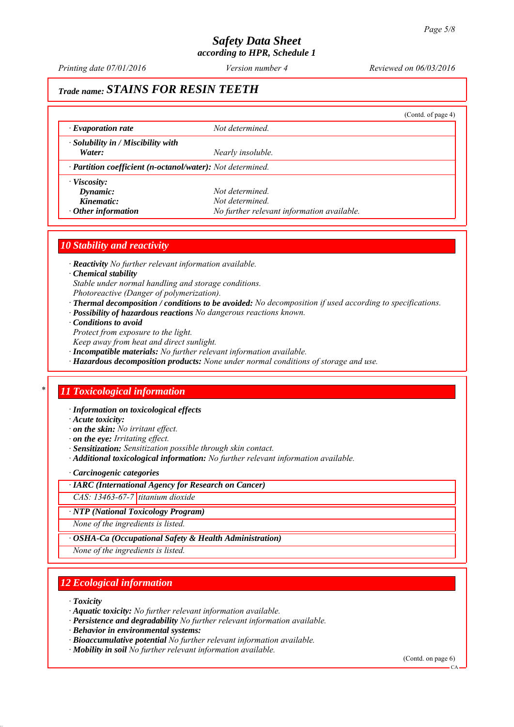*Printing date 07/01/2016 Reviewed on 06/03/2016 Version number 4*

# *Trade name: STAINS FOR RESIN TEETH*

|                                                            |                   | (Contd. of page 4) |  |  |
|------------------------------------------------------------|-------------------|--------------------|--|--|
| $\cdot$ Evaporation rate                                   | Not determined.   |                    |  |  |
| · Solubility in / Miscibility with                         |                   |                    |  |  |
| Water:                                                     | Nearly insoluble. |                    |  |  |
| · Partition coefficient (n-octanol/water): Not determined. |                   |                    |  |  |
| $\cdot$ Viscosity:                                         | Not determined    |                    |  |  |
| Dynamic:                                                   |                   |                    |  |  |
| Kinematic:                                                 | Not determined    |                    |  |  |
|                                                            |                   |                    |  |  |

#### *10 Stability and reactivity*

*∙ Reactivity No further relevant information available.*

#### *∙ Chemical stability*

*Stable under normal handling and storage conditions.*

*Photoreactive (Danger of polymerization).*

- *∙ Thermal decomposition / conditions to be avoided: No decomposition if used according to specifications.*
- *∙ Possibility of hazardous reactions No dangerous reactions known.*
- *∙ Conditions to avoid*

*Protect from exposure to the light.*

*Keep away from heat and direct sunlight.*

*∙ Incompatible materials: No further relevant information available.*

*∙ Hazardous decomposition products: None under normal conditions of storage and use.*

### *\* 11 Toxicological information*

*∙ Information on toxicological effects*

*∙ Acute toxicity:*

*∙ on the skin: No irritant effect.*

*∙ on the eye: Irritating effect.*

*∙ Sensitization: Sensitization possible through skin contact.*

*∙ Additional toxicological information: No further relevant information available.*

*∙ Carcinogenic categories*

*∙ IARC (International Agency for Research on Cancer)*

*CAS: 13463-67-7 titanium dioxide*

*∙ NTP (National Toxicology Program)*

*None of the ingredients is listed.*

*∙ OSHA-Ca (Occupational Safety & Health Administration)*

*None of the ingredients is listed.*

## *12 Ecological information*

*∙ Toxicity*

*∙ Aquatic toxicity: No further relevant information available.*

*∙ Persistence and degradability No further relevant information available.*

*∙ Behavior in environmental systems:*

*∙ Bioaccumulative potential No further relevant information available.*

*∙ Mobility in soil No further relevant information available.*

(Contd. on page 6)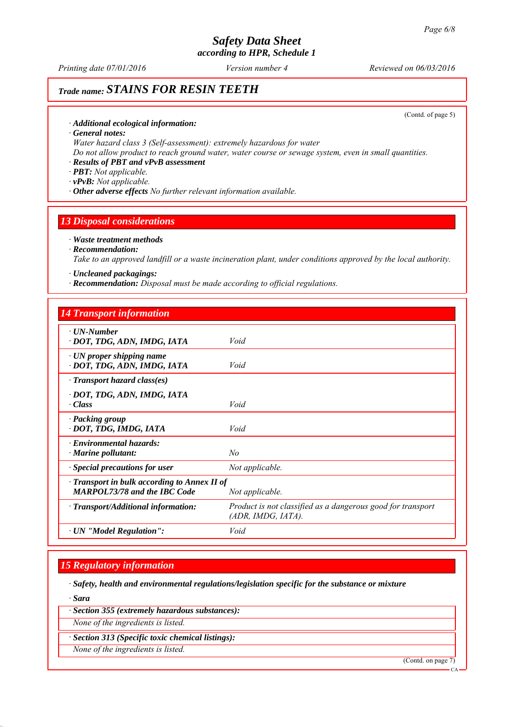*Printing date 07/01/2016 Reviewed on 06/03/2016 Version number 4*

# *Trade name: STAINS FOR RESIN TEETH*

(Contd. of page 5)

#### *∙ Additional ecological information:*

*∙ General notes:*

*Water hazard class 3 (Self-assessment): extremely hazardous for water*

*Do not allow product to reach ground water, water course or sewage system, even in small quantities.*

#### *∙ Results of PBT and vPvB assessment*

*∙ PBT: Not applicable.*

*∙ vPvB: Not applicable.*

*∙ Other adverse effects No further relevant information available.*

#### *13 Disposal considerations*

### *∙ Waste treatment methods*

#### *∙ Recommendation:*

*Take to an approved landfill or a waste incineration plant, under conditions approved by the local authority.*

*∙ Uncleaned packagings:*

*∙ Recommendation: Disposal must be made according to official regulations.*

#### *14 Transport information*

| $\cdot$ UN-Number                                  |                                                             |
|----------------------------------------------------|-------------------------------------------------------------|
| · DOT, TDG, ADN, IMDG, IATA                        | Void                                                        |
|                                                    |                                                             |
| $\cdot$ UN proper shipping name                    |                                                             |
| · DOT, TDG, ADN, IMDG, IATA                        | Void                                                        |
| $\cdot$ Transport hazard class(es)                 |                                                             |
| · DOT, TDG, ADN, IMDG, IATA                        |                                                             |
| · Class                                            | Void                                                        |
|                                                    |                                                             |
| · Packing group                                    |                                                             |
| · DOT, TDG, IMDG, IATA                             | Void                                                        |
|                                                    |                                                             |
| · Environmental hazards:                           |                                                             |
| $\cdot$ Marine pollutant:                          | No                                                          |
| · Special precautions for user                     | Not applicable.                                             |
| $\cdot$ Transport in bulk according to Annex II of |                                                             |
| <b>MARPOL73/78 and the IBC Code</b>                |                                                             |
|                                                    | Not applicable.                                             |
| $\cdot$ Transport/Additional information:          | Product is not classified as a dangerous good for transport |
|                                                    | (ADR, IMDG, IATA).                                          |
|                                                    |                                                             |
| · UN "Model Regulation":                           | Void                                                        |
|                                                    |                                                             |

#### *15 Regulatory information*

*∙ Safety, health and environmental regulations/legislation specific for the substance or mixture*

*∙ Sara*

*∙ Section 355 (extremely hazardous substances):*

*None of the ingredients is listed.*

*∙ Section 313 (Specific toxic chemical listings):*

*None of the ingredients is listed.*

(Contd. on page 7)

CA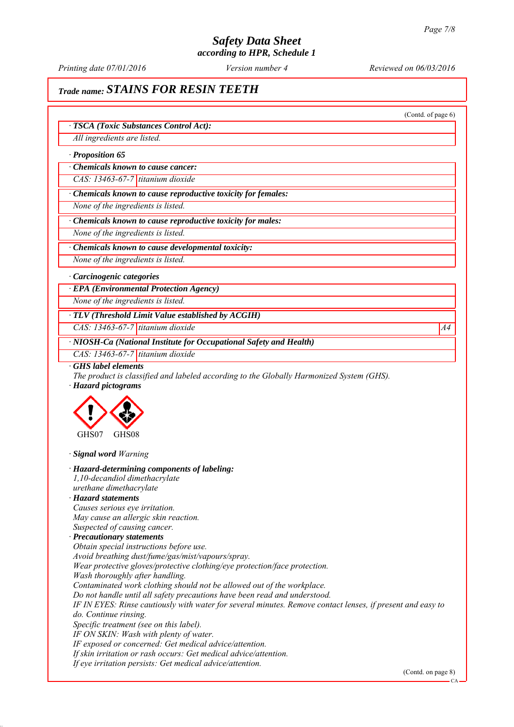*Printing date 07/01/2016 Reviewed on 06/03/2016 Version number 4*

(Contd. of page 6)

# *Trade name: STAINS FOR RESIN TEETH*

*∙ TSCA (Toxic Substances Control Act):*

*All ingredients are listed.*

*∙ Proposition 65*

*∙ Chemicals known to cause cancer:*

*CAS: 13463-67-7 titanium dioxide*

*∙ Chemicals known to cause reproductive toxicity for females:*

*None of the ingredients is listed.*

*∙ Chemicals known to cause reproductive toxicity for males:*

*None of the ingredients is listed.*

*∙ Chemicals known to cause developmental toxicity:*

*None of the ingredients is listed.*

#### *∙ Carcinogenic categories*

*∙ EPA (Environmental Protection Agency)*

*None of the ingredients is listed.*

*∙ TLV (Threshold Limit Value established by ACGIH)*

*CAS: 13463-67-7 titanium dioxide A4*

*∙ NIOSH-Ca (National Institute for Occupational Safety and Health)*

*CAS: 13463-67-7 titanium dioxide*

*∙ GHS label elements*

*The product is classified and labeled according to the Globally Harmonized System (GHS). ∙ Hazard pictograms*



*∙ Signal word Warning*

*∙ Hazard-determining components of labeling:*

*1,10-decandiol dimethacrylate*

*urethane dimethacrylate*

## *∙ Hazard statements*

*Causes serious eye irritation. May cause an allergic skin reaction. Suspected of causing cancer.*

#### *∙ Precautionary statements*

*Obtain special instructions before use.*

*Avoid breathing dust/fume/gas/mist/vapours/spray.*

- *Wear protective gloves/protective clothing/eye protection/face protection.*
- *Wash thoroughly after handling.*

*Contaminated work clothing should not be allowed out of the workplace.*

*Do not handle until all safety precautions have been read and understood.*

*IF IN EYES: Rinse cautiously with water for several minutes. Remove contact lenses, if present and easy to do. Continue rinsing.*

*Specific treatment (see on this label).*

*IF ON SKIN: Wash with plenty of water.*

*IF exposed or concerned: Get medical advice/attention.*

*If skin irritation or rash occurs: Get medical advice/attention.*

*If eye irritation persists: Get medical advice/attention.*

(Contd. on page 8)